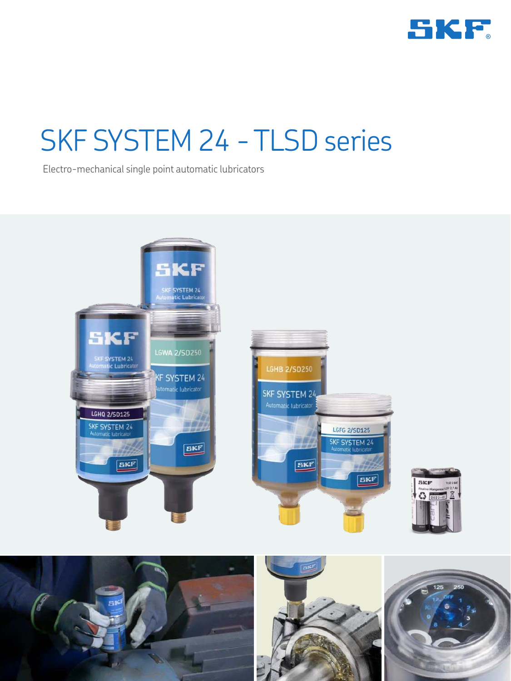

# SKF SYSTEM 24 - TLSD series

Electro-mechanical single point automatic lubricators







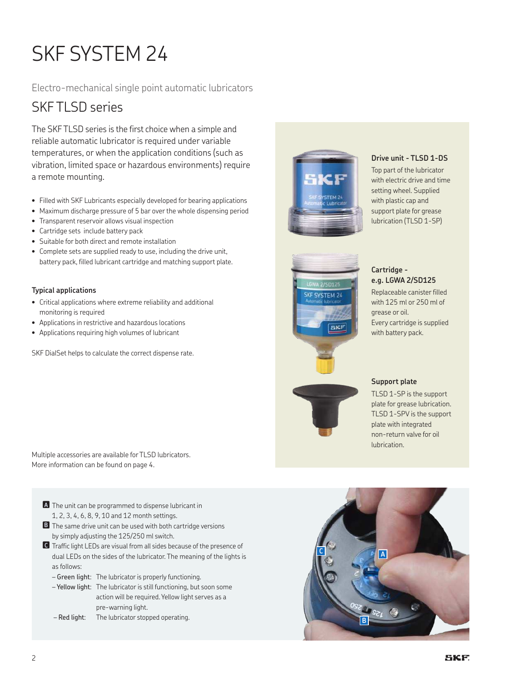## SKF SYSTEM 24

Electro-mechanical single point automatic lubricators

### SKFTI SD series

The SKF TLSD series is the first choice when a simple and reliable automatic lubricator is required under variable temperatures, or when the application conditions (such as vibration, limited space or hazardous environments) require a remote mounting.

- Filled with SKF Lubricants especially developed for bearing applications
- Maximum discharge pressure of 5 bar over the whole dispensing period
- Transparent reservoir allows visual inspection
- Cartridge sets include battery pack
- Suitable for both direct and remote installation
- Complete sets are supplied ready to use, including the drive unit, battery pack, filled lubricant cartridge and matching support plate.

#### **Typical applications**

- Critical applications where extreme reliability and additional monitoring is required
- Applications in restrictive and hazardous locations
- Applications requiring high volumes of lubricant

SKF DialSet helps to calculate the correct dispense rate.

Multiple accessories are available for TLSD lubricators. More information can be found on page 4.

- **A** The unit can be programmed to dispense lubricant in 1, 2, 3, 4, 6, 8, 9, 10 and 12 month settings.
- **B** The same drive unit can be used with both cartridge versions by simply adjusting the 125/250 ml switch.
- n**<sup>C</sup>** Traffic light LEDs are visual from all sides because of the presence of dual LEDs on the sides of the lubricator. The meaning of the lights is as follows:
	- Green light: The lubricator is properly functioning.
	- Yellow light: The lubricator is still functioning, but soon some action will be required. Yellow light serves as a pre-warning light.
	- Red light: The lubricator stopped operating.



#### **Drive unit - TLSD 1-DS**

Top part of the lubricator with electric drive and time setting wheel. Supplied with plastic cap and support plate for grease lubrication (TLSD 1-SP)



#### **Cartridge e.g. LGWA 2/SD125**

Replaceable canister filled with 125 ml or 250 ml of grease or oil. Every cartridge is supplied with battery pack.



#### **Support plate**

TLSD 1-SP is the support plate for grease lubrication. TLSD 1-SPV is the support plate with integrated non-return valve for oil lubrication.

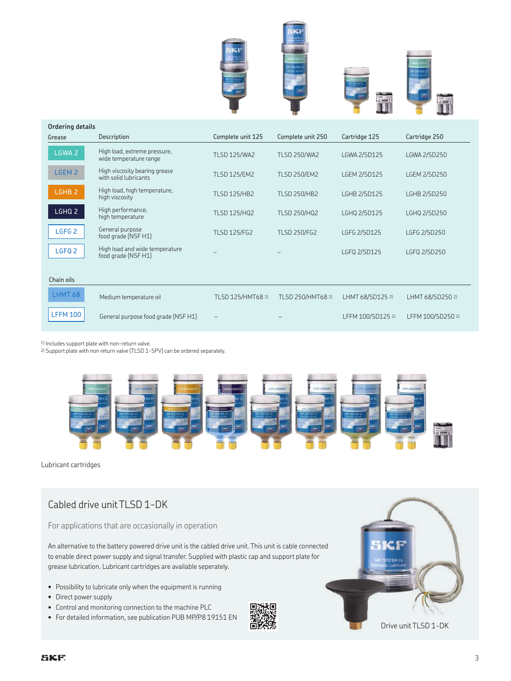







| Urdering details<br>Grease | <b>Description</b>                                     | Complete unit 125   | Complete unit 250   | Cartridge 125       | Cartridge 250       |  |  |
|----------------------------|--------------------------------------------------------|---------------------|---------------------|---------------------|---------------------|--|--|
| LGWA <sub>2</sub>          | High load, extreme pressure,<br>wide temperature range | <b>TLSD 125/WA2</b> | <b>TLSD 250/WA2</b> | <b>LGWA 2/SD125</b> | <b>LGWA 2/SD250</b> |  |  |
| LGEM 2                     | High viscosity bearing grease<br>with solid lubricants | <b>TLSD 125/EM2</b> | <b>TLSD 250/EM2</b> | <b>LGEM 2/SD125</b> | <b>LGEM 2/SD250</b> |  |  |
| LGHB <sub>2</sub>          | High load, high temperature,<br>high viscosity         | <b>TLSD 125/HB2</b> | <b>TLSD 250/HB2</b> | <b>LGHB 2/SD125</b> | <b>LGHB 2/SD250</b> |  |  |
| LGHQ 2                     | High performance,<br>high temperature                  | <b>TLSD 125/HQ2</b> | <b>TLSD 250/HQ2</b> | LGHQ 2/SD125        | LGHQ 2/SD250        |  |  |
| LGFG <sub>2</sub>          | General purpose<br>food grade (NSF H1)                 | <b>TLSD 125/FG2</b> | <b>TLSD 250/FG2</b> | LGFG 2/SD125        | LGFG 2/SD250        |  |  |
| LGFQ <sub>2</sub>          | High load and wide temperature<br>food grade (NSF H1)  |                     |                     | LGFQ 2/SD125        | LGFQ 2/SD250        |  |  |
| Chain oils                 |                                                        |                     |                     |                     |                     |  |  |
| LHMT 68                    | Medium temperature oil                                 | TLSD 125/HMT68 1)   | TLSD 250/HMT68 1)   | LHMT 68/SD125 2)    | LHMT 68/SD250 2)    |  |  |
| <b>LFFM 100</b>            | General purpose food grade (NSF H1)                    |                     |                     | LFFM 100/SD125 2)   | LFFM 100/SD250 2)   |  |  |

1) Includes support plate with non-return valve.

2) Support plate with non return valve (TLSD 1-SPV) can be ordered separately.



Lubricant cartridges

**Ordering details**

#### Cabled drive unit TLSD 1-DK

For applications that are occasionally in operation

An alternative to the battery powered drive unit is the cabled drive unit. This unit is cable connected to enable direct power supply and signal transfer. Supplied with plastic cap and support plate for grease lubrication. Lubricant cartridges are available seperately.

- Possibility to lubricate only when the equipment is running
- Direct power supply
- Control and monitoring connection to the machine PLC
- For detailed information, see publication PUB MP/P8 19151 EN